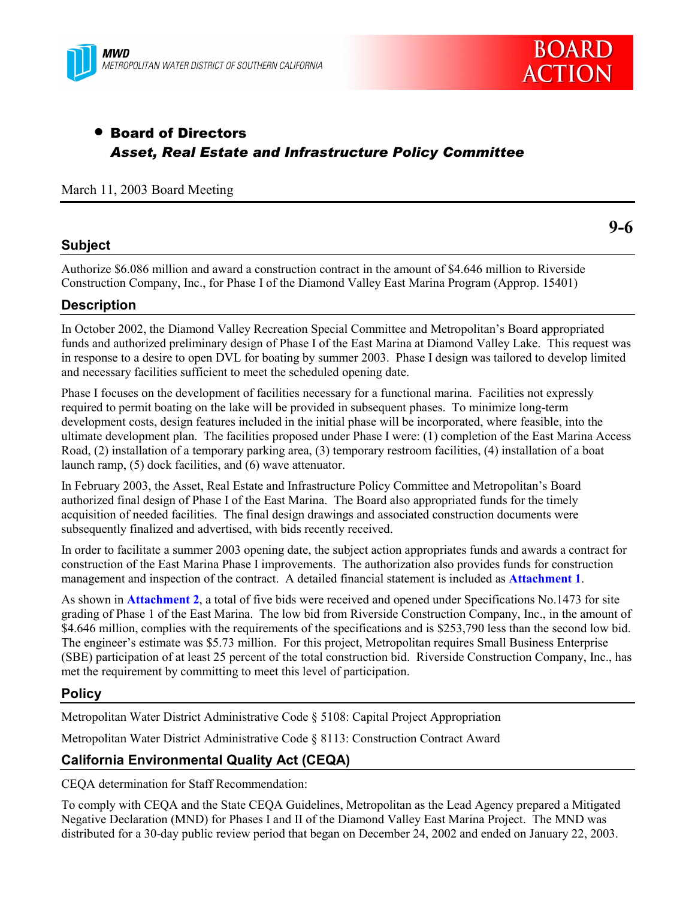



**9-6**

# • Board of Directors *Asset, Real Estate and Infrastructure Policy Committee*

### March 11, 2003 Board Meeting

### **Subject**

Authorize \$6.086 million and award a construction contract in the amount of \$4.646 million to Riverside Construction Company, Inc., for Phase I of the Diamond Valley East Marina Program (Approp. 15401)

### **Description**

In October 2002, the Diamond Valley Recreation Special Committee and Metropolitanís Board appropriated funds and authorized preliminary design of Phase I of the East Marina at Diamond Valley Lake. This request was in response to a desire to open DVL for boating by summer 2003. Phase I design was tailored to develop limited and necessary facilities sufficient to meet the scheduled opening date.

Phase I focuses on the development of facilities necessary for a functional marina. Facilities not expressly required to permit boating on the lake will be provided in subsequent phases. To minimize long-term development costs, design features included in the initial phase will be incorporated, where feasible, into the ultimate development plan. The facilities proposed under Phase I were: (1) completion of the East Marina Access Road, (2) installation of a temporary parking area, (3) temporary restroom facilities, (4) installation of a boat launch ramp, (5) dock facilities, and (6) wave attenuator.

In February 2003, the Asset, Real Estate and Infrastructure Policy Committee and Metropolitanís Board authorized final design of Phase I of the East Marina. The Board also appropriated funds for the timely acquisition of needed facilities. The final design drawings and associated construction documents were subsequently finalized and advertised, with bids recently received.

In order to facilitate a summer 2003 opening date, the subject action appropriates funds and awards a contract for construction of the East Marina Phase I improvements. The authorization also provides funds for construction management and inspection of the contract. A detailed financial statement is included as **Attachment 1**.

As shown in **Attachment 2**, a total of five bids were received and opened under Specifications No.1473 for site grading of Phase 1 of the East Marina. The low bid from Riverside Construction Company, Inc., in the amount of \$4.646 million, complies with the requirements of the specifications and is \$253,790 less than the second low bid. The engineer's estimate was \$5.73 million. For this project, Metropolitan requires Small Business Enterprise (SBE) participation of at least 25 percent of the total construction bid. Riverside Construction Company, Inc., has met the requirement by committing to meet this level of participation.

### **Policy**

Metropolitan Water District Administrative Code ß 5108: Capital Project Appropriation

Metropolitan Water District Administrative Code ß 8113: Construction Contract Award

# **California Environmental Quality Act (CEQA)**

CEQA determination for Staff Recommendation:

To comply with CEQA and the State CEQA Guidelines, Metropolitan as the Lead Agency prepared a Mitigated Negative Declaration (MND) for Phases I and II of the Diamond Valley East Marina Project. The MND was distributed for a 30-day public review period that began on December 24, 2002 and ended on January 22, 2003.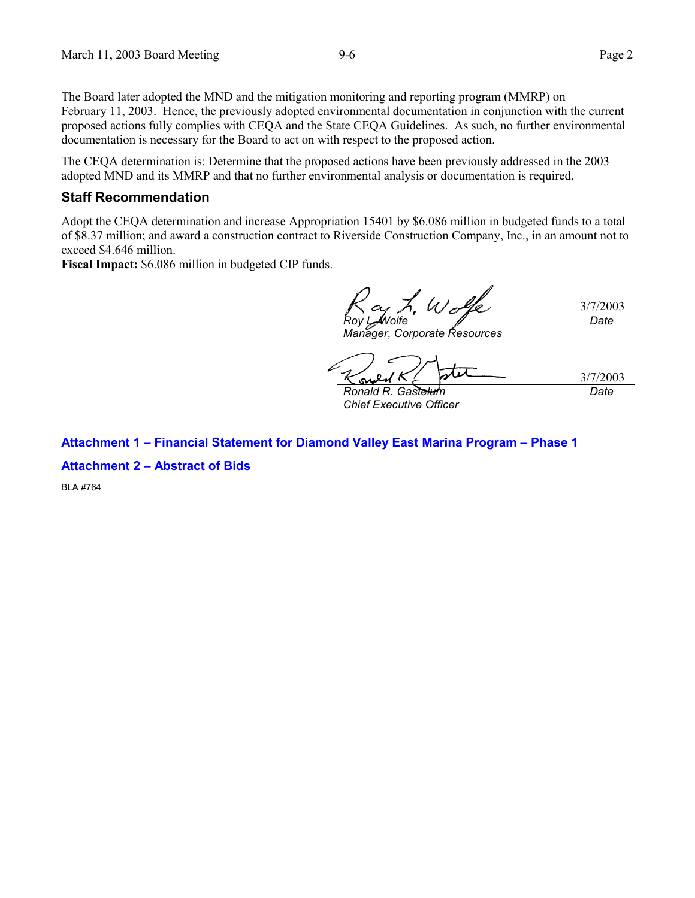The Board later adopted the MND and the mitigation monitoring and reporting program (MMRP) on February 11, 2003. Hence, the previously adopted environmental documentation in conjunction with the current proposed actions fully complies with CEQA and the State CEQA Guidelines. As such, no further environmental documentation is necessary for the Board to act on with respect to the proposed action.

The CEQA determination is: Determine that the proposed actions have been previously addressed in the 2003 adopted MND and its MMRP and that no further environmental analysis or documentation is required.

#### **Staff Recommendation**

Adopt the CEQA determination and increase Appropriation 15401 by \$6.086 million in budgeted funds to a total of \$8.37 million; and award a construction contract to Riverside Construction Company, Inc., in an amount not to exceed \$4.646 million.

**Fiscal Impact:** \$6.086 million in budgeted CIP funds.

3/7/2003 *Roy L. Wolfe Date*

*Manager, Corporate Resources*

*Ronald R. Gastelum*

*Chief Executive Officer*

3/7/2003 *Date*

### **Attachment 1 - Financial Statement for Diamond Valley East Marina Program - Phase 1**

**Attachment 2 - Abstract of Bids** 

BLA #764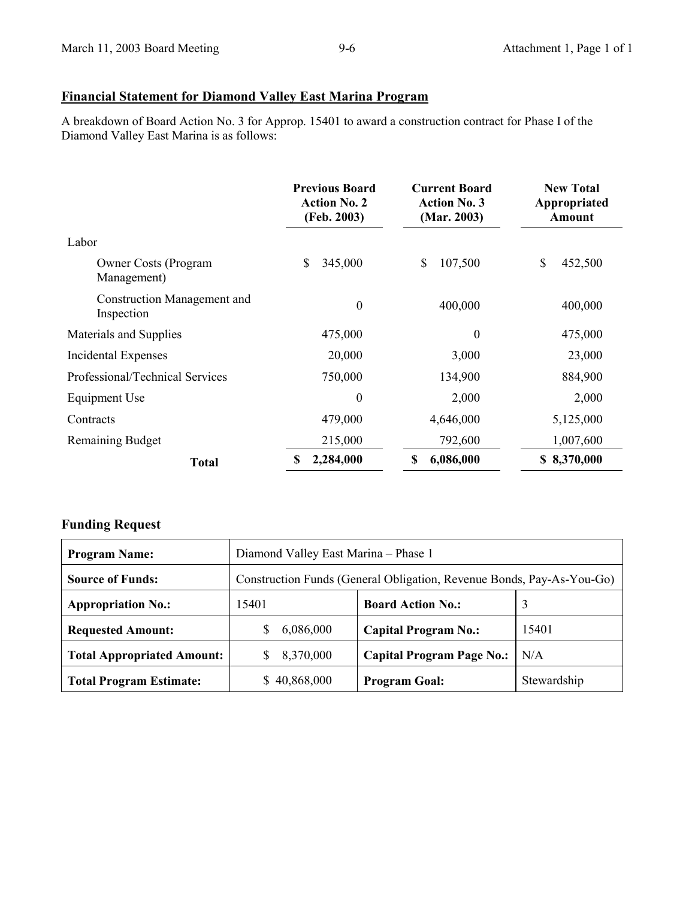# **Financial Statement for Diamond Valley East Marina Program**

A breakdown of Board Action No. 3 for Approp. 15401 to award a construction contract for Phase I of the Diamond Valley East Marina is as follows:

|                                                  | <b>Previous Board</b><br><b>Action No. 2</b><br>(Feb. 2003) | <b>Current Board</b><br><b>Action No. 3</b><br>(Mar. 2003) | <b>New Total</b><br>Appropriated<br><b>Amount</b> |
|--------------------------------------------------|-------------------------------------------------------------|------------------------------------------------------------|---------------------------------------------------|
| Labor                                            |                                                             |                                                            |                                                   |
| <b>Owner Costs (Program</b><br>Management)       | \$<br>345,000                                               | \$<br>107,500                                              | $\mathbf S$<br>452,500                            |
| <b>Construction Management and</b><br>Inspection | $\boldsymbol{0}$                                            | 400,000                                                    | 400,000                                           |
| Materials and Supplies                           | 475,000                                                     | $\theta$                                                   | 475,000                                           |
| Incidental Expenses                              | 20,000                                                      | 3,000                                                      | 23,000                                            |
| Professional/Technical Services                  | 750,000                                                     | 134,900                                                    | 884,900                                           |
| Equipment Use                                    | $\theta$                                                    | 2,000                                                      | 2,000                                             |
| Contracts                                        | 479,000                                                     | 4,646,000                                                  | 5,125,000                                         |
| <b>Remaining Budget</b>                          | 215,000                                                     | 792,600                                                    | 1,007,600                                         |
| <b>Total</b>                                     | 2,284,000<br>\$                                             | 6,086,000<br>\$                                            | \$8,370,000                                       |

# **Funding Request**

| <b>Program Name:</b>              | Diamond Valley East Marina - Phase 1                                  |                                  |             |  |
|-----------------------------------|-----------------------------------------------------------------------|----------------------------------|-------------|--|
| <b>Source of Funds:</b>           | Construction Funds (General Obligation, Revenue Bonds, Pay-As-You-Go) |                                  |             |  |
| <b>Appropriation No.:</b>         | 15401                                                                 | <b>Board Action No.:</b>         | 3           |  |
| <b>Requested Amount:</b>          | 6,086,000                                                             | <b>Capital Program No.:</b>      | 15401       |  |
| <b>Total Appropriated Amount:</b> | 8,370,000                                                             | <b>Capital Program Page No.:</b> | N/A         |  |
| <b>Total Program Estimate:</b>    | 40,868,000                                                            | <b>Program Goal:</b>             | Stewardship |  |